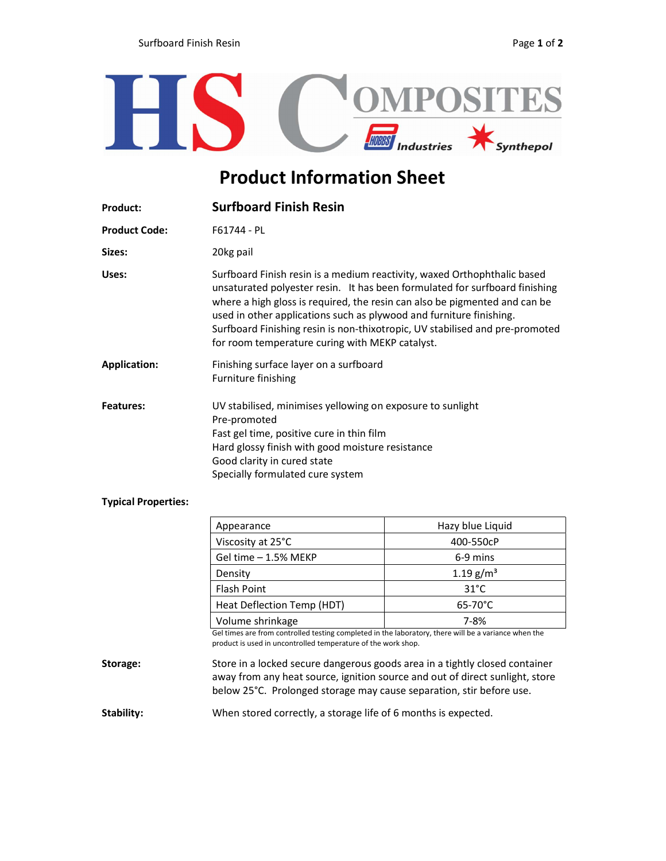

## Product Information Sheet

| <b>Product:</b>      | <b>Surfboard Finish Resin</b>                                                                                                                                                                                                                                                                                                                                                                                                                   |  |
|----------------------|-------------------------------------------------------------------------------------------------------------------------------------------------------------------------------------------------------------------------------------------------------------------------------------------------------------------------------------------------------------------------------------------------------------------------------------------------|--|
| <b>Product Code:</b> | F61744 - PL                                                                                                                                                                                                                                                                                                                                                                                                                                     |  |
| Sizes:               | 20kg pail                                                                                                                                                                                                                                                                                                                                                                                                                                       |  |
| Uses:                | Surfboard Finish resin is a medium reactivity, waxed Orthophthalic based<br>unsaturated polyester resin. It has been formulated for surfboard finishing<br>where a high gloss is required, the resin can also be pigmented and can be<br>used in other applications such as plywood and furniture finishing.<br>Surfboard Finishing resin is non-thixotropic, UV stabilised and pre-promoted<br>for room temperature curing with MEKP catalyst. |  |
| <b>Application:</b>  | Finishing surface layer on a surfboard<br>Furniture finishing                                                                                                                                                                                                                                                                                                                                                                                   |  |
| <b>Features:</b>     | UV stabilised, minimises yellowing on exposure to sunlight<br>Pre-promoted<br>Fast gel time, positive cure in thin film<br>Hard glossy finish with good moisture resistance<br>Good clarity in cured state<br>Specially formulated cure system                                                                                                                                                                                                  |  |

## Typical Properties:

|          | Appearance                                                                                                                                                            | Hazy blue Liquid        |  |
|----------|-----------------------------------------------------------------------------------------------------------------------------------------------------------------------|-------------------------|--|
|          | Viscosity at 25°C                                                                                                                                                     | 400-550cP               |  |
|          | Gel time - 1.5% MEKP                                                                                                                                                  | 6-9 mins                |  |
|          | Density                                                                                                                                                               | $1.19$ g/m <sup>3</sup> |  |
|          | <b>Flash Point</b>                                                                                                                                                    | $31^{\circ}$ C          |  |
|          | Heat Deflection Temp (HDT)                                                                                                                                            | $65-70^{\circ}$ C       |  |
|          | Volume shrinkage                                                                                                                                                      | 7-8%                    |  |
|          | Gel times are from controlled testing completed in the laboratory, there will be a variance when the<br>product is used in uncontrolled temperature of the work shop. |                         |  |
| Storage: | Store in a locked secure dangerous goods area in a tightly closed container                                                                                           |                         |  |

away from any heat source, ignition source and out of direct sunlight, store below 25°C. Prolonged storage may cause separation, stir before use.

Stability: When stored correctly, a storage life of 6 months is expected.